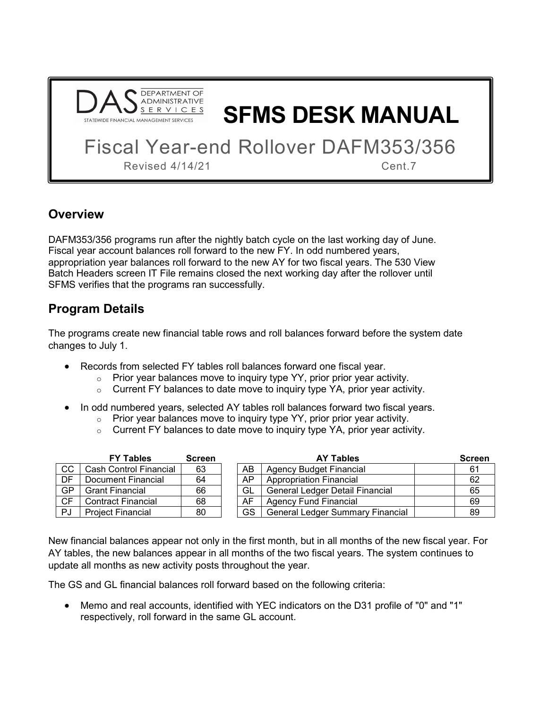

**SFMS DESK MANUAL**

Fiscal Year-end Rollover DAFM353/356

Revised 4/14/21 Cent.7

## **Overview**

DAFM353/356 programs run after the nightly batch cycle on the last working day of June. Fiscal year account balances roll forward to the new FY. In odd numbered years, appropriation year balances roll forward to the new AY for two fiscal years. The 530 View Batch Headers screen IT File remains closed the next working day after the rollover until SFMS verifies that the programs ran successfully.

## **Program Details**

The programs create new financial table rows and roll balances forward before the system date changes to July 1.

- Records from selected FY tables roll balances forward one fiscal year.
	- $\circ$  Prior year balances move to inquiry type YY, prior prior year activity.
	- $\circ$  Current FY balances to date move to inquiry type YA, prior year activity.
- In odd numbered years, selected AY tables roll balances forward two fiscal years.
	- $\circ$  Prior year balances move to inquiry type YY, prior prior year activity.
	- $\circ$  Current FY balances to date move to inquiry type YA, prior year activity.

|           | <b>FY Tables</b>          | <b>Screen</b> | <b>AY Tables</b> |                                         |  | <b>Screen</b> |
|-----------|---------------------------|---------------|------------------|-----------------------------------------|--|---------------|
| CC        | Cash Control Financial    | 63            | AB               | Agency Budget Financial                 |  | 61            |
| DF        | Document Financial        | 64            | AP               | <b>Appropriation Financial</b>          |  | 62            |
| GP        | <b>Grant Financial</b>    | 66            | GL               | <b>General Ledger Detail Financial</b>  |  | 65            |
| <b>CF</b> | <b>Contract Financial</b> | 68            | AF               | <b>Agency Fund Financial</b>            |  | 69            |
| PJ        | <b>Project Financial</b>  | 80            | GS               | <b>General Ledger Summary Financial</b> |  | 89            |

New financial balances appear not only in the first month, but in all months of the new fiscal year. For AY tables, the new balances appear in all months of the two fiscal years. The system continues to update all months as new activity posts throughout the year.

The GS and GL financial balances roll forward based on the following criteria:

• Memo and real accounts, identified with YEC indicators on the D31 profile of "0" and "1" respectively, roll forward in the same GL account.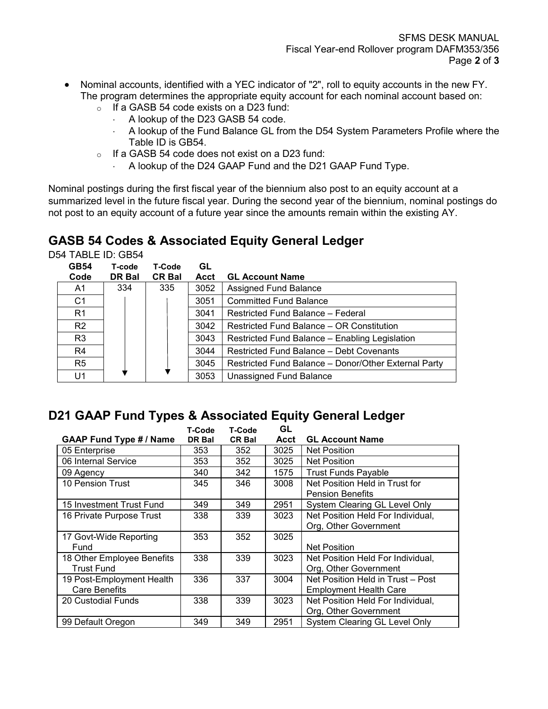- Nominal accounts, identified with a YEC indicator of "2", roll to equity accounts in the new FY. The program determines the appropriate equity account for each nominal account based on:
	- $\circ$  If a GASB 54 code exists on a D23 fund:
		- ⋅ A lookup of the D23 GASB 54 code.
		- A lookup of the Fund Balance GL from the D54 System Parameters Profile where the Table ID is GB54.
	- o If a GASB 54 code does not exist on a D23 fund:
		- A lookup of the D24 GAAP Fund and the D21 GAAP Fund Type.

Nominal postings during the first fiscal year of the biennium also post to an equity account at a summarized level in the future fiscal year. During the second year of the biennium, nominal postings do not post to an equity account of a future year since the amounts remain within the existing AY.

# **GASB 54 Codes & Associated Equity General Ledger**

D54 TABLE ID: GB54

| <b>GB54</b>    | T-code | T-Code        | GL          |                                                      |
|----------------|--------|---------------|-------------|------------------------------------------------------|
| Code           | DR Bal | <b>CR Bal</b> | <b>Acct</b> | <b>GL Account Name</b>                               |
| A1             | 334    | 335           | 3052        | <b>Assigned Fund Balance</b>                         |
| C <sub>1</sub> |        |               | 3051        | <b>Committed Fund Balance</b>                        |
| R <sub>1</sub> |        |               | 3041        | Restricted Fund Balance - Federal                    |
| R <sub>2</sub> |        |               | 3042        | Restricted Fund Balance – OR Constitution            |
| R <sub>3</sub> |        |               | 3043        | Restricted Fund Balance - Enabling Legislation       |
| R4             |        |               | 3044        | Restricted Fund Balance - Debt Covenants             |
| R <sub>5</sub> |        |               | 3045        | Restricted Fund Balance - Donor/Other External Party |
| U1             |        |               | 3053        | Unassigned Fund Balance                              |

#### **D21 GAAP Fund Types & Associated Equity General Ledger**

|                                | T-Code | <b>T-Code</b> | GL   |                                   |
|--------------------------------|--------|---------------|------|-----------------------------------|
| <b>GAAP Fund Type # / Name</b> | DR Bal | <b>CR Bal</b> | Acct | <b>GL Account Name</b>            |
| 05 Enterprise                  | 353    | 352           | 3025 | <b>Net Position</b>               |
| 06 Internal Service            | 353    | 352           | 3025 | <b>Net Position</b>               |
| 09 Agency                      | 340    | 342           | 1575 | <b>Trust Funds Payable</b>        |
| 10 Pension Trust               | 345    | 346           | 3008 | Net Position Held in Trust for    |
|                                |        |               |      | <b>Pension Benefits</b>           |
| 15 Investment Trust Fund       | 349    | 349           | 2951 | System Clearing GL Level Only     |
| 16 Private Purpose Trust       | 338    | 339           | 3023 | Net Position Held For Individual, |
|                                |        |               |      | Org, Other Government             |
| 17 Govt-Wide Reporting         | 353    | 352           | 3025 |                                   |
| Fund                           |        |               |      | <b>Net Position</b>               |
| 18 Other Employee Benefits     | 338    | 339           | 3023 | Net Position Held For Individual, |
| <b>Trust Fund</b>              |        |               |      | Org, Other Government             |
| 19 Post-Employment Health      | 336    | 337           | 3004 | Net Position Held in Trust - Post |
| <b>Care Benefits</b>           |        |               |      | <b>Employment Health Care</b>     |
| 20 Custodial Funds             | 338    | 339           | 3023 | Net Position Held For Individual, |
|                                |        |               |      | Org, Other Government             |
| 99 Default Oregon              | 349    | 349           | 2951 | System Clearing GL Level Only     |